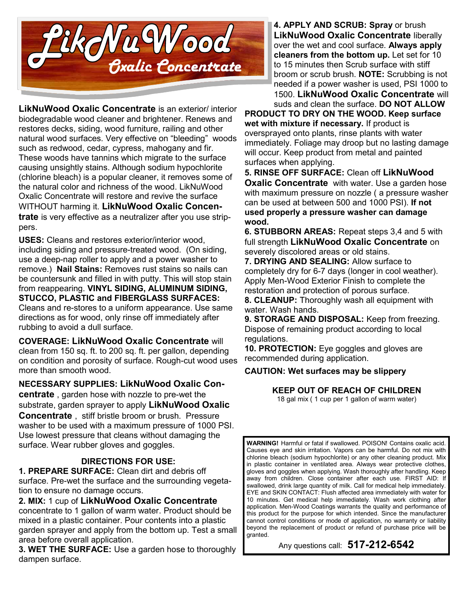

**LikNuWood Oxalic Concentrate** is an exterior/ interior biodegradable wood cleaner and brightener. Renews and restores decks, siding, wood furniture, railing and other natural wood surfaces. Very effective on "bleeding" woods such as redwood, cedar, cypress, mahogany and fir. These woods have tannins which migrate to the surface causing unsightly stains. Although sodium hypochlorite (chlorine bleach) is a popular cleaner, it removes some of the natural color and richness of the wood. LikNuWood Oxalic Concentrate will restore and revive the surface WITHOUT harming it. **LikNuWood Oxalic Concentrate** is very effective as a neutralizer after you use strippers.

**USES:** Cleans and restores exterior/interior wood, including siding and pressure-treated wood. (On siding, use a deep-nap roller to apply and a power washer to remove.) **Nail Stains:** Removes rust stains so nails can be countersunk and filled in with putty. This will stop stain from reappearing. **VINYL SIDING, ALUMINUM SIDING, STUCCO, PLASTIC and FIBERGLASS SURFACES:** Cleans and re-stores to a uniform appearance. Use same directions as for wood, only rinse off immediately after rubbing to avoid a dull surface.

**COVERAGE: LikNuWood Oxalic Concentrate** will clean from 150 sq. ft. to 200 sq. ft. per gallon, depending on condition and porosity of surface. Rough-cut wood uses more than smooth wood.

**NECESSARY SUPPLIES: LikNuWood Oxalic Concentrate** , garden hose with nozzle to pre-wet the substrate, garden sprayer to apply **LikNuWood Oxalic Concentrate** , stiff bristle broom or brush. Pressure washer to be used with a maximum pressure of 1000 PSI. Use lowest pressure that cleans without damaging the surface. Wear rubber gloves and goggles.

### **DIRECTIONS FOR USE:**

**1. PREPARE SURFACE:** Clean dirt and debris off surface. Pre-wet the surface and the surrounding vegetation to ensure no damage occurs.

**2. MIX:** 1 cup of **LikNuWood Oxalic Concentrate** concentrate to 1 gallon of warm water. Product should be mixed in a plastic container. Pour contents into a plastic garden sprayer and apply from the bottom up. Test a small area before overall application.

**3. WET THE SURFACE:** Use a garden hose to thoroughly dampen surface.

**4. APPLY AND SCRUB: Spray** or brush **LikNuWood Oxalic Concentrate** liberally over the wet and cool surface. **Always apply cleaners from the bottom up.** Let set for 10 to 15 minutes then Scrub surface with stiff broom or scrub brush. **NOTE:** Scrubbing is not needed if a power washer is used, PSI 1000 to 1500. **LikNuWood Oxalic Concentrate** will

suds and clean the surface. **DO NOT ALLOW PRODUCT TO DRY ON THE WOOD. Keep surface wet with mixture if necessary.** If product is oversprayed onto plants, rinse plants with water immediately. Foliage may droop but no lasting damage will occur. Keep product from metal and painted surfaces when applying.

**5. RINSE OFF SURFACE:** Clean off **LikNuWood Oxalic Concentrate** with water. Use a garden hose with maximum pressure on nozzle ( a pressure washer can be used at between 500 and 1000 PSI). **If not used properly a pressure washer can damage wood.**

**6. STUBBORN AREAS:** Repeat steps 3,4 and 5 with full strength **LikNuWood Oxalic Concentrate** on severely discolored areas or old stains.

**7. DRYING AND SEALING:** Allow surface to completely dry for 6-7 days (longer in cool weather). Apply Men-Wood Exterior Finish to complete the restoration and protection of porous surface.

**8. CLEANUP:** Thoroughly wash all equipment with water. Wash hands.

**9. STORAGE AND DISPOSAL:** Keep from freezing. Dispose of remaining product according to local regulations.

**10. PROTECTION:** Eye goggles and gloves are recommended during application.

### **CAUTION: Wet surfaces may be slippery**

### **KEEP OUT OF REACH OF CHILDREN**

18 gal mix ( 1 cup per 1 gallon of warm water)

**WARNING!** Harmful or fatal if swallowed. POISON! Contains oxalic acid. Causes eye and skin irritation. Vapors can be harmful. Do not mix with chlorine bleach (sodium hypochlorite) or any other cleaning product. Mix in plastic container in ventilated area. Always wear protective clothes, gloves and goggles when applying. Wash thoroughly after handling. Keep away from children. Close container after each use. FIRST AID: If swallowed, drink large quantity of milk. Call for medical help immediately. EYE and SKIN CONTACT: Flush affected area immediately with water for 10 minutes. Get medical help immediately. Wash work clothing after application. Men-Wood Coatings warrants the quality and performance of this product for the purpose for which intended. Since the manufacturer cannot control conditions or mode of application, no warranty or liability beyond the replacement of product or refund of purchase price will be granted.

Any questions call: **517-212-6542**